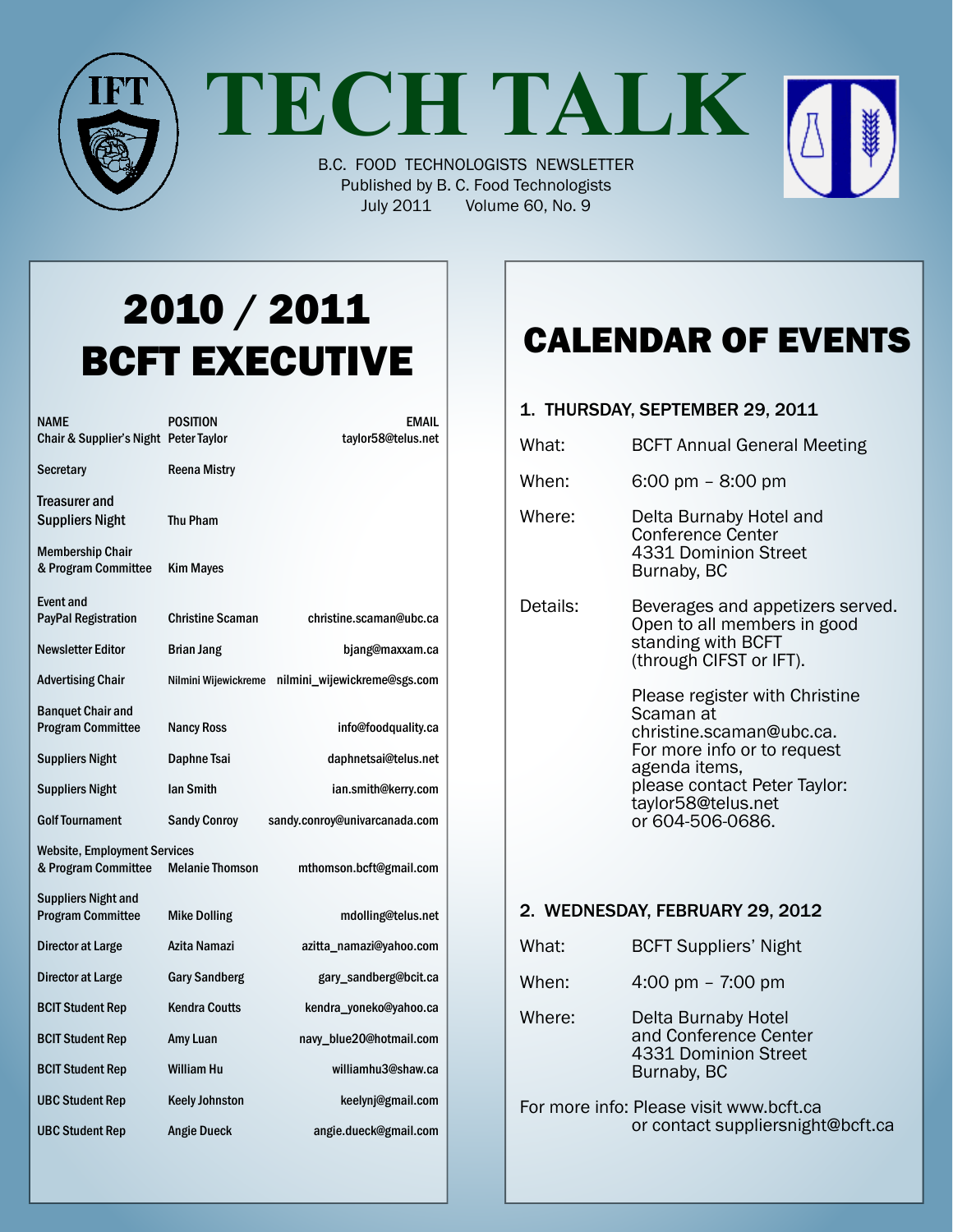

**TECH TALK**

B.C. FOOD TECHNOLOGISTS NEWSLETTER Published by B. C. Food Technologists July 2011 Volume 60, No. 9

# 2010 / 2011 BCFT EXECUTIVE

| <b>NAME</b><br>Chair & Supplier's Night Peter Taylor       | <b>POSITION</b>         | <b>EMAIL</b><br>taylor58@telus.net |
|------------------------------------------------------------|-------------------------|------------------------------------|
| <b>Secretary</b>                                           | <b>Reena Mistry</b>     |                                    |
| Treasurer and<br><b>Suppliers Night</b>                    | <b>Thu Pham</b>         |                                    |
| <b>Membership Chair</b><br>& Program Committee             | <b>Kim Mayes</b>        |                                    |
| <b>Event and</b><br><b>PayPal Registration</b>             | <b>Christine Scaman</b> | christine.scaman@ubc.ca            |
| <b>Newsletter Editor</b>                                   | <b>Brian Jang</b>       | bjang@maxxam.ca                    |
| <b>Advertising Chair</b>                                   | Nilmini Wijewickreme    | nilmini_wijewickreme@sgs.com       |
| <b>Banquet Chair and</b><br><b>Program Committee</b>       | <b>Nancy Ross</b>       | info@foodquality.ca                |
| <b>Suppliers Night</b>                                     | Daphne Tsai             | daphnetsai@telus.net               |
| <b>Suppliers Night</b>                                     | <b>Ian Smith</b>        | ian.smith@kerry.com                |
| <b>Golf Tournament</b>                                     | <b>Sandy Conroy</b>     | sandy.conroy@univarcanada.com      |
| <b>Website, Employment Services</b><br>& Program Committee | <b>Melanie Thomson</b>  | mthomson.bcft@gmail.com            |
| <b>Suppliers Night and</b><br><b>Program Committee</b>     | <b>Mike Dolling</b>     | mdolling@telus.net                 |
| Director at Large                                          | Azita Namazi            | azitta_namazi@yahoo.com            |
| Director at Large                                          | <b>Gary Sandberg</b>    | gary_sandberg@bcit.ca              |
| <b>BCIT Student Rep</b>                                    | <b>Kendra Coutts</b>    | kendra_yoneko@yahoo.ca             |
| <b>BCIT Student Rep</b>                                    | Amy Luan                | navy_blue20@hotmail.com            |
| <b>BCIT Student Rep</b>                                    | <b>William Hu</b>       | williamhu3@shaw.ca                 |
| <b>UBC Student Rep</b>                                     | <b>Keely Johnston</b>   | keelynj@gmail.com                  |
| <b>UBC Student Rep</b>                                     | <b>Angie Dueck</b>      | angie.dueck@gmail.com              |

### Calendar Of Events

### 1. Thursday, September 29, 2011 What: **BCFT Annual General Meeting** When: 6:00 pm – 8:00 pm Where: Delta Burnaby Hotel and Conference Center 4331 Dominion Street Burnaby, BC Details: Beverages and appetizers served.<br>Open to all members in good standing with BCFT (through CIFST or IFT). Please register with Christine Scaman at christine.scaman@ubc.ca. For more info or to request agenda items,

please contact Peter Taylor:<br>taylor58@telus.net<br>or 604-506-0686.

### 2. Wednesday, February 29, 2012

- What: **BCFT Suppliers' Night**
- When: 4:00 pm 7:00 pm
- Where: Delta Burnaby Hotel and Conference Center 4331 Dominion Street Burnaby, BC
- For more info: Please visit www.bcft.ca or contact suppliersnight@bcft.ca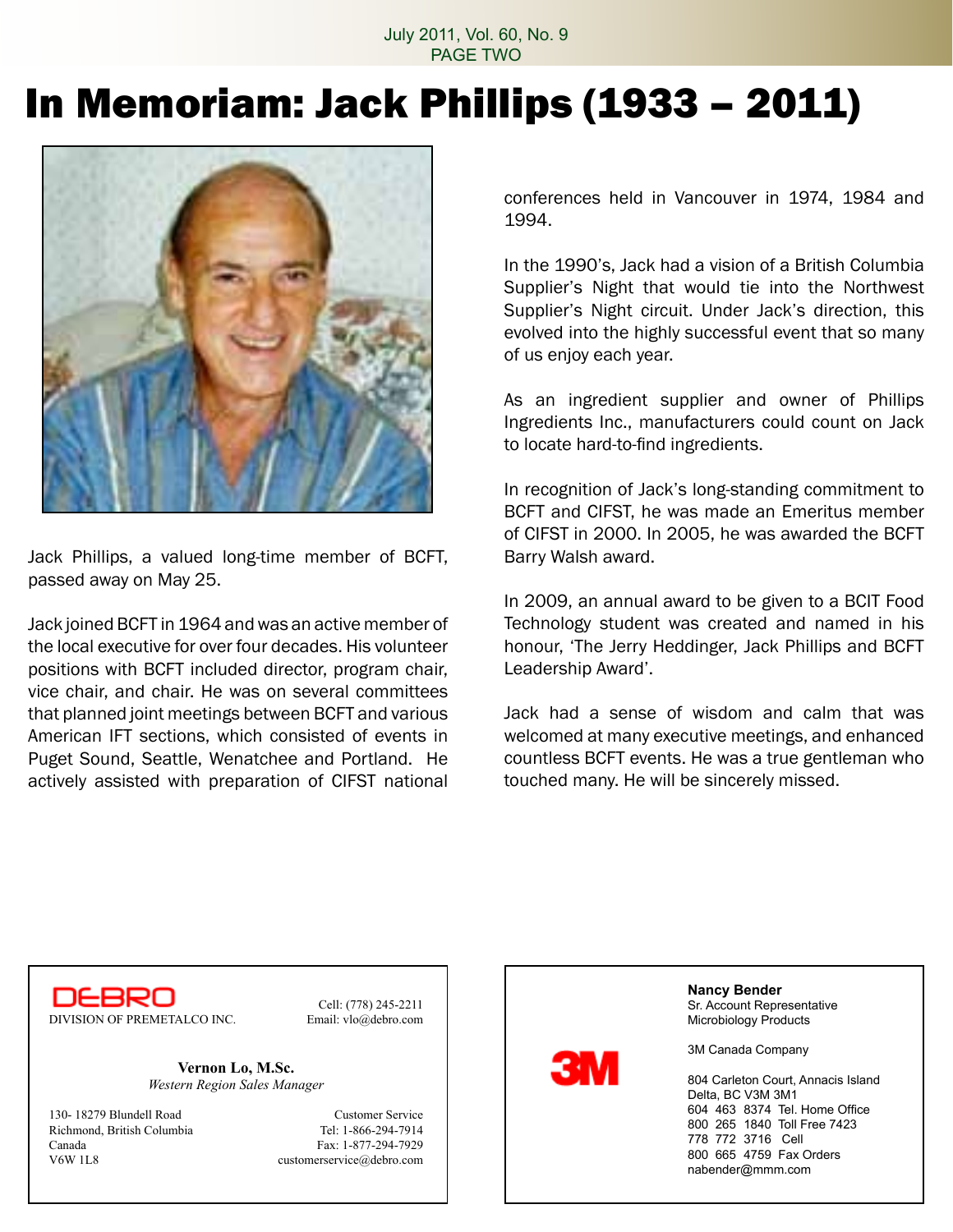July 2011, Vol. 60, No. 9 PAGE TWO

# In Memoriam: Jack Phillips (1933 – 2011)



Jack Phillips, a valued long-time member of BCFT, passed away on May 25.

Jack joined BCFT in 1964 andwas an active member of the local executive for over four decades. His volunteer positions with BCFT included director, program chair, vice chair, and chair. He was on several committees that planned joint meetings between BCFT and various American IFT sections, which consisted of events in Puget Sound, Seattle, Wenatchee and Portland. He actively assisted with preparation of CIFST national conferences held in Vancouver in 1974, 1984 and 1994.

In the 1990's, Jack had a vision of a British Columbia Supplier's Night that would tie into the Northwest Supplier's Night circuit. Under Jack's direction, this evolved into the highly successful event that so many of us enjoy each year.

As an ingredient supplier and owner of Phillips Ingredients Inc., manufacturers could count on Jack to locate hard-to-find ingredients.

In recognition of Jack's long-standing commitment to BCFT and CIFST, he was made an Emeritus member of CIFST in 2000. In 2005, he was awarded the BCFT Barry Walsh award.

In 2009, an annual award to be given to a BCIT Food Technology student was created and named in his honour, 'The Jerry Heddinger, Jack Phillips and BCFT Leadership Award'.

Jack had a sense of wisdom and calm that was welcomed at many executive meetings, and enhanced countless BCFT events. He was a true gentleman who touched many. He will be sincerely missed.

DEBRO DIVISION OF PREMETALCO INC. Email: vlo@debro.com

Cell: (778) 245-2211

**Vernon Lo, M.Sc.** *Western Region Sales Manager*

130- 18279 Blundell Road Customer Service Richmond, British Columbia Tel: 1-866-294-7914 Canada Fax: 1-877-294-7929 V6W 1L8 customerservice@debro.com



**Nancy Bender** Sr. Account Representative Microbiology Products

3M Canada Company

804 Carleton Court, Annacis Island Delta, BC V3M 3M1 604 463 8374 Tel. Home Office 800 265 1840 Toll Free 7423 778 772 3716 Cell 800 665 4759 Fax Orders nabender@mmm.com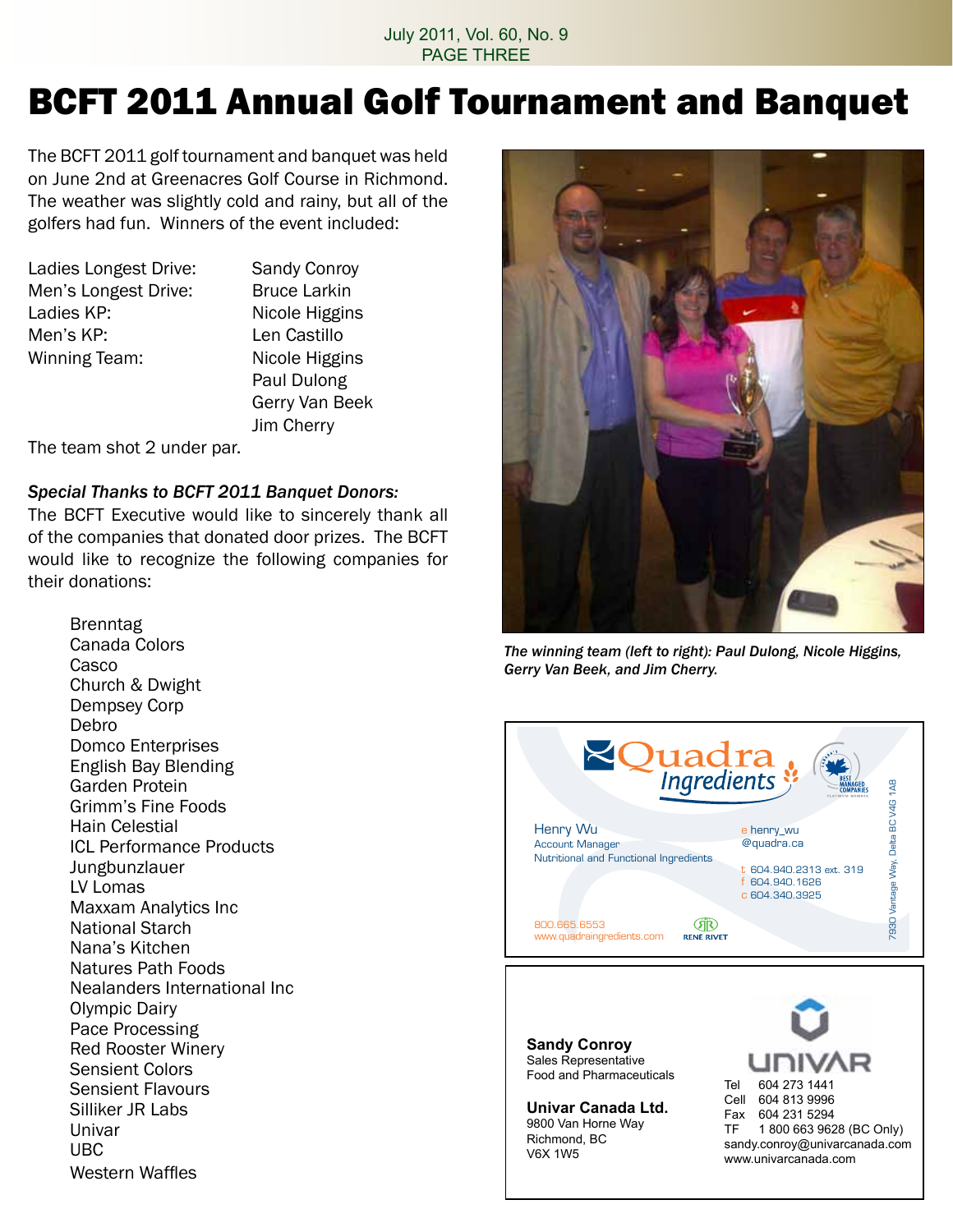#### July 2011, Vol. 60, No. 9 PAGE THREE

# BCFT 2011 Annual Golf Tournament and Banquet

The BCFT 2011 golf tournament and banquet was held on June 2nd at Greenacres Golf Course in Richmond. The weather was slightly cold and rainy, but all of the golfers had fun. Winners of the event included:

Ladies Longest Drive: Sandy Conroy Men's Longest Drive: Bruce Larkin Ladies KP: Nicole Higgins Men's KP: **Len Castillo** Winning Team: Nicole Higgins

 Paul Dulong Gerry Van Beek Jim Cherry

The team shot 2 under par.

### *Special Thanks to BCFT 2011 Banquet Donors:*

The BCFT Executive would like to sincerely thank all of the companies that donated door prizes. The BCFT would like to recognize the following companies for their donations:

> Brenntag Canada Colors Casco Church & Dwight Dempsey Corp Debro Domco Enterprises English Bay Blending Garden Protein Grimm's Fine Foods Hain Celestial ICL Performance Products Jungbunzlauer LV Lomas Maxxam Analytics Inc National Starch Nana's Kitchen Natures Path Foods Nealanders International Inc Olympic Dairy Pace Processing Red Rooster Winery Sensient Colors Sensient Flavours Silliker JR Labs Univar UBC Western Waffles



*The winning team (left to right): Paul Dulong, Nicole Higgins, Gerry Van Beek, and Jim Cherry.*



**Sandy Conroy** Sales Representative Food and Pharmaceuticals

**Univar Canada Ltd.** 9800 Van Horne Way Richmond, BC V6X 1W5

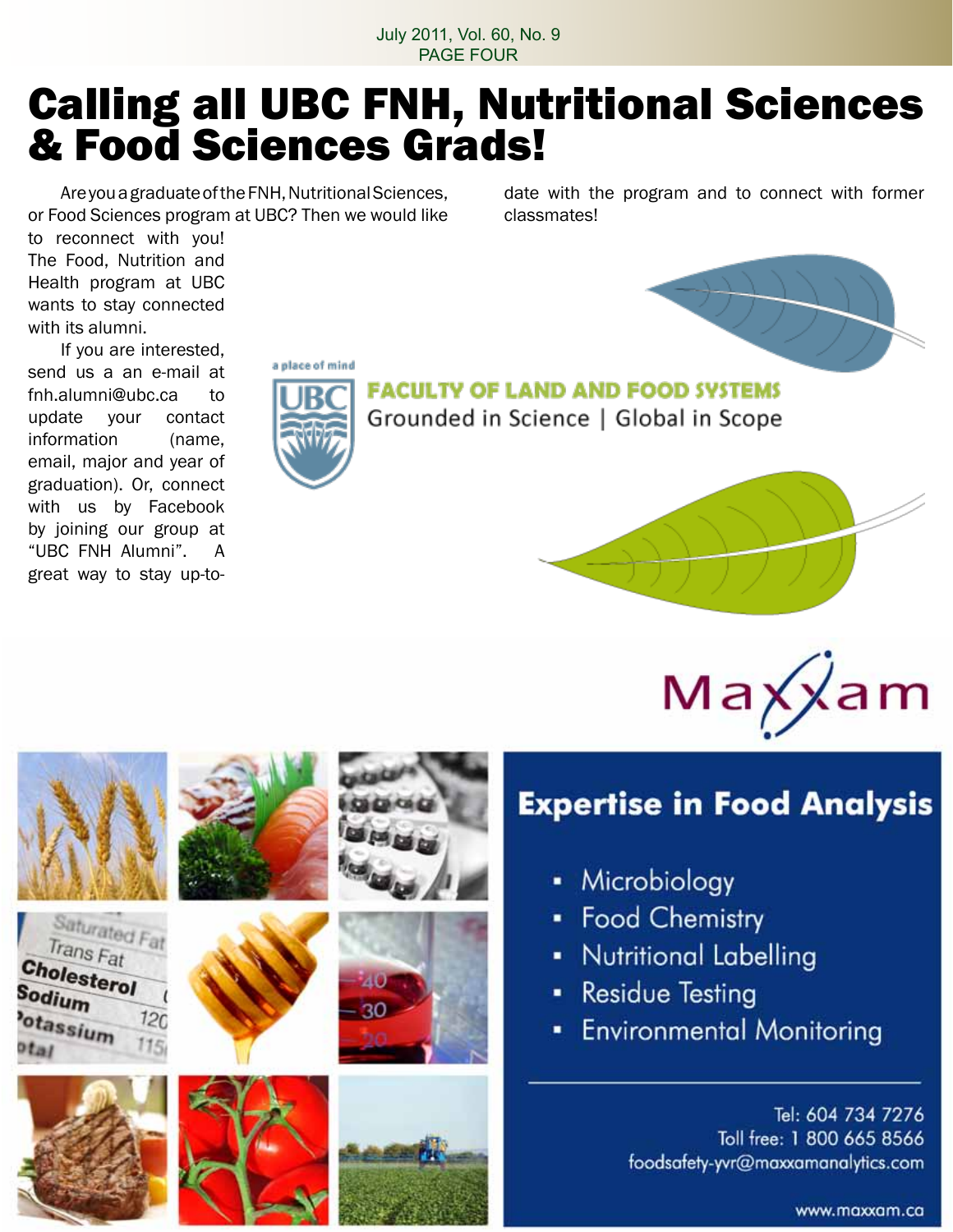July 2011, Vol. 60, No. 9 PAGE FOUR

# Calling all UBC FNH, Nutritional Sciences & Food Sciences Grads!

Are you a graduate of the FNH, Nutritional Sciences, or Food Sciences program at UBC? Then we would like date with the program and to connect with former classmates!

to reconnect with you! The Food, Nutrition and Health program at UBC wants to stay connected with its alumni.

 If you are interested, send us a an e-mail at fnh.alumni@ubc.ca to update your contact information (name, email, major and year of graduation). Or, connect with us by Facebook by joining our group at "UBC FNH Alumni". A great way to stay up-to-

> Saturated Fat Trans Fat

> > $120$

Cholesterol

otassium

Sodium



**FACULTY OF LAND AND FOOD SYSTEMS** Grounded in Science | Global in Scope





### **Expertise in Food Analysis**

- Microbiology
- Food Chemistry
- Nutritional Labelling
- **Residue Testing**
- **Environmental Monitoring**

Tel: 604 734 7276 Toll free: 1 800 665 8566 foodsafety-yvr@maxxamanalytics.com

www.maxxam.ca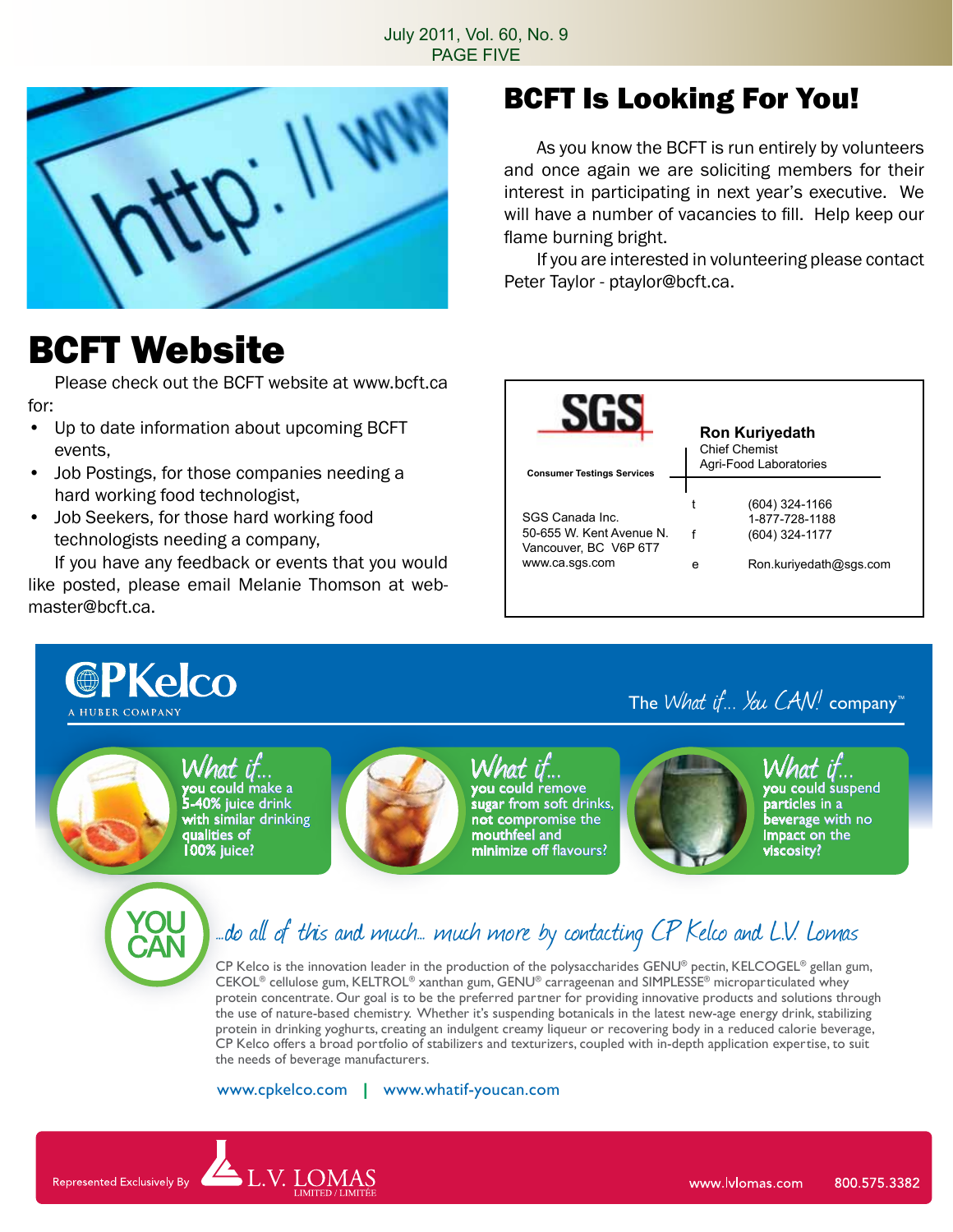#### July 2011, Vol. 60, No. 9 PAGE FIVE



## BCFT Website

 Please check out the BCFT website at www.bcft.ca for:

- • Up to date information about upcoming BCFT events,
- Job Postings, for those companies needing a hard working food technologist,
- Job Seekers, for those hard working food technologists needing a company,

 If you have any feedback or events that you would like posted, please email Melanie Thomson at webmaster@bcft.ca.

V. LOMAS

Represented Exclusively By

### BCFT Is Looking For You!

 As you know the BCFT is run entirely by volunteers and once again we are soliciting members for their interest in participating in next year's executive. We will have a number of vacancies to fill. Help keep our flame burning bright.

 If you are interested in volunteering please contact Peter Taylor - ptaylor@bcft.ca.

| <b>Consumer Testings Services</b>                                                    | <b>Chief Chemist</b> | <b>Ron Kuriyedath</b><br>Agri-Food Laboratories                              |
|--------------------------------------------------------------------------------------|----------------------|------------------------------------------------------------------------------|
| SGS Canada Inc.<br>50-655 W Kent Avenue N<br>Vancouver, BC V6P 6T7<br>www.ca.sgs.com | e                    | (604) 324-1166<br>1-877-728-1188<br>(604) 324-1177<br>Ron.kuriyedath@sqs.com |

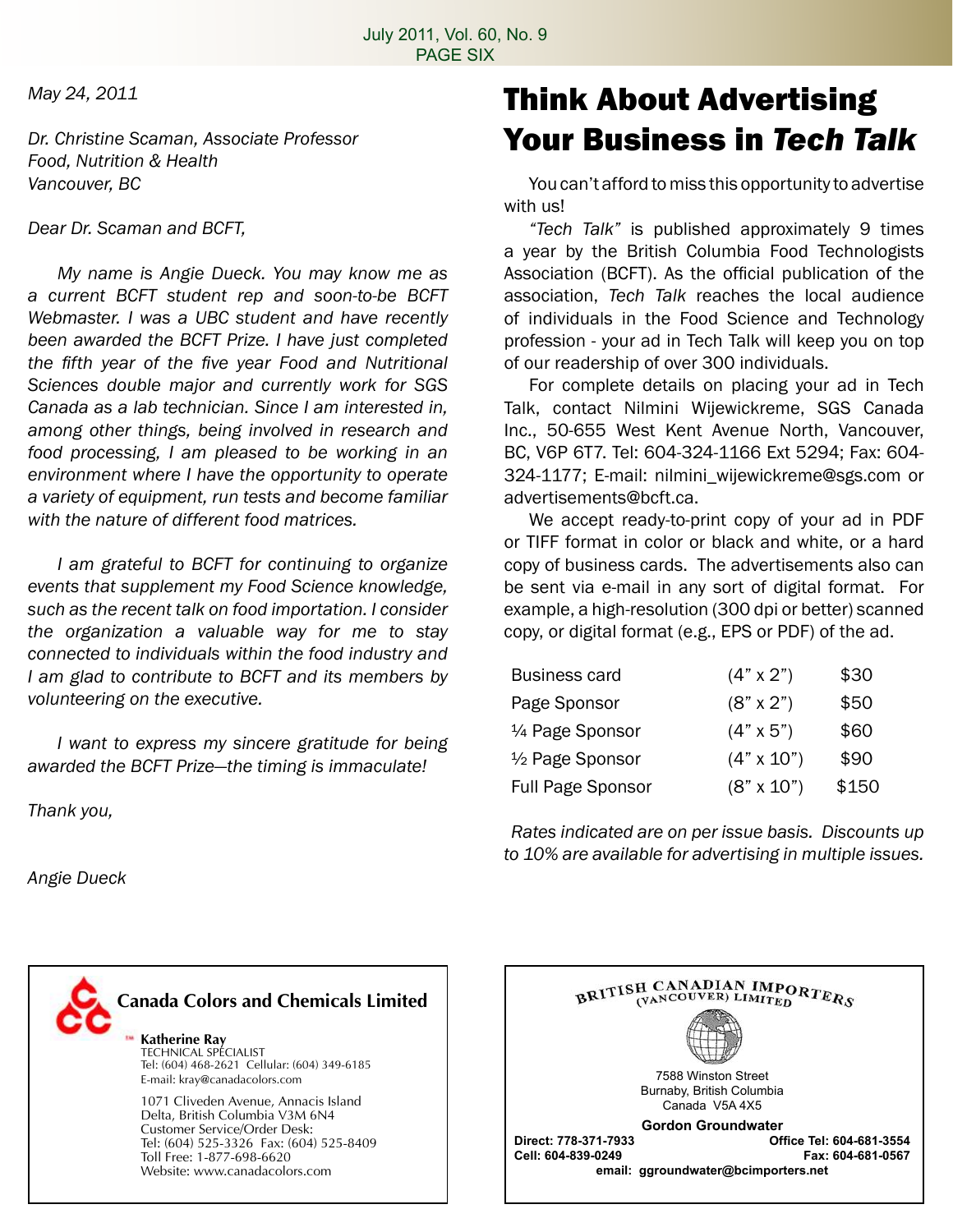*May 24, 2011*

*Dr. Christine Scaman, Associate Professor Food, Nutrition & Health Vancouver, BC*

*Dear Dr. Scaman and BCFT,*

 *My name is Angie Dueck. You may know me as a current BCFT student rep and soon-to-be BCFT Webmaster. I was a UBC student and have recently been awarded the BCFT Prize. I have just completed the fifth year of the five year Food and Nutritional Sciences double major and currently work for SGS Canada as a lab technician. Since I am interested in, among other things, being involved in research and food processing, I am pleased to be working in an environment where I have the opportunity to operate a variety of equipment, run tests and become familiar with the nature of different food matrices.*

 *I am grateful to BCFT for continuing to organize events that supplement my Food Science knowledge, such as the recent talk on food importation. I consider the organization a valuable way for me to stay connected to individuals within the food industry and I am glad to contribute to BCFT and its members by volunteering on the executive.*

 *I want to express my sincere gratitude for being awarded the BCFT Prize—the timing is immaculate!*

*Thank you,*

*Angie Dueck*

### Think About Advertising Your Business in *Tech Talk*

You can't afford to miss this opportunity to advertise with us!

 *"Tech Talk"* is published approximately 9 times a year by the British Columbia Food Technologists Association (BCFT). As the official publication of the association, *Tech Talk* reaches the local audience of individuals in the Food Science and Technology profession - your ad in Tech Talk will keep you on top of our readership of over 300 individuals.

 For complete details on placing your ad in Tech Talk, contact Nilmini Wijewickreme, SGS Canada Inc., 50-655 West Kent Avenue North, Vancouver, BC, V6P 6T7. Tel: 604-324-1166 Ext 5294; Fax: 604- 324-1177; E-mail: nilmini\_wijewickreme@sgs.com or advertisements@bcft.ca.

 We accept ready-to-print copy of your ad in PDF or TIFF format in color or black and white, or a hard copy of business cards. The advertisements also can be sent via e-mail in any sort of digital format. For example, a high-resolution (300 dpi or better) scanned copy, or digital format (e.g., EPS or PDF) of the ad.

| \$50  |
|-------|
| \$60  |
| \$90  |
| \$150 |
|       |

*Rates indicated are on per issue basis. Discounts up to 10% are available for advertising in multiple issues.*



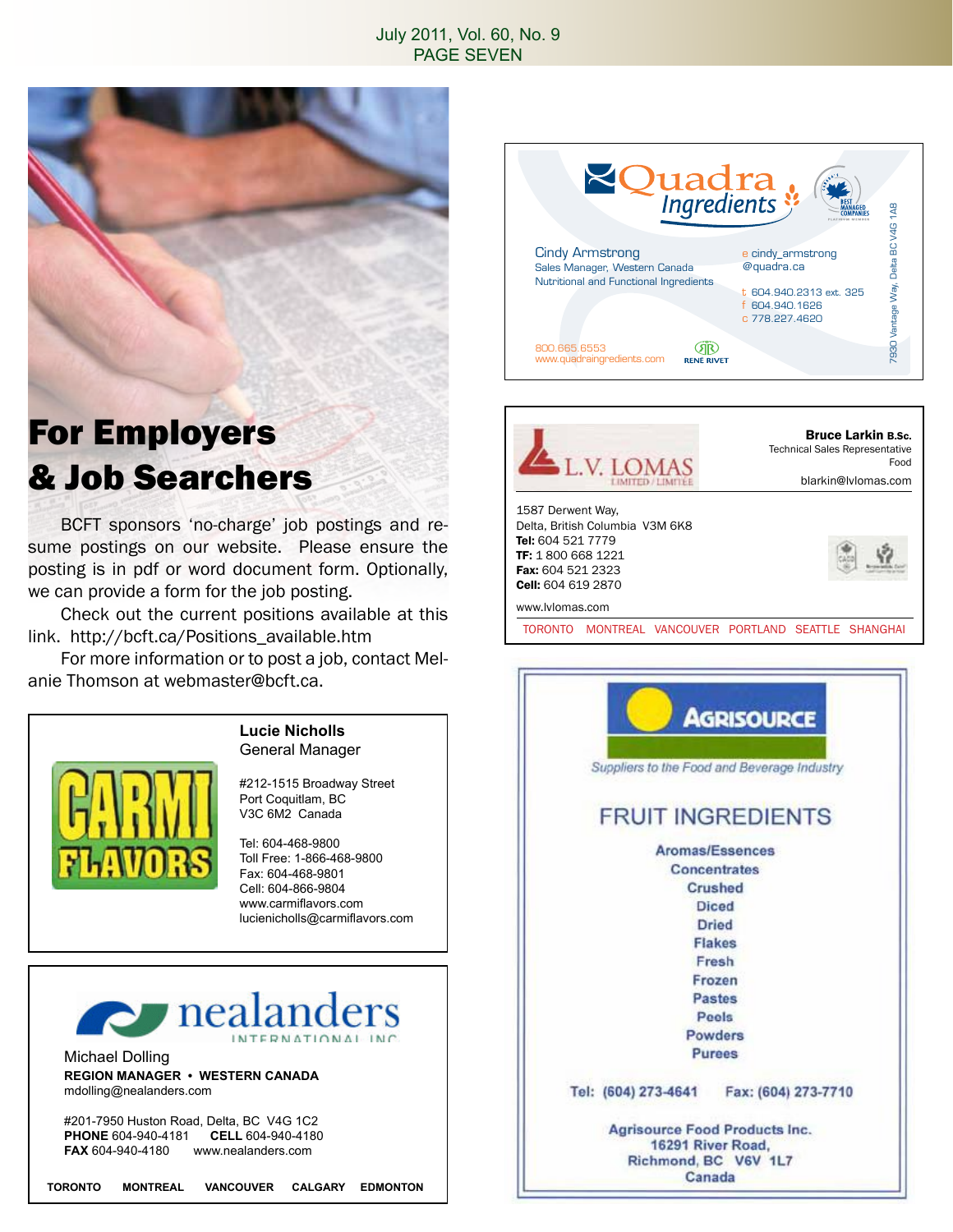#### July 2011, Vol. 60, No. 9 PAGE SEVEN



### For Employers & Job Searchers

BCFT sponsors 'no-charge' job postings and resume postings on our website. Please ensure the posting is in pdf or word document form. Optionally, we can provide a form for the job posting.

 Check out the current positions available at this link. http://bcft.ca/Positions\_available.htm

 For more information or to post a job, contact Melanie Thomson at webmaster@bcft.ca.



#### **Lucie Nicholls** General Manager

#212-1515 Broadway Street Port Coquitlam, BC V3C 6M2 Canada

Tel: 604-468-9800 Toll Free: 1-866-468-9800 Fax: 604-468-9801 Cell: 604-866-9804 www.carmiflavors.com lucienicholls@carmiflavors.com



Michael Dolling **REGION MANAGER • WESTERN CANADA** mdolling@nealanders.com

#201-7950 Huston Road, Delta, BC V4G 1C2<br>PHONE 604-940-4181 CELL 604-940-4180 **PHONE 604-940-4181**<br>**FAX 604-940-4180 W FAX** 604-940-4180 www.nealanders.com